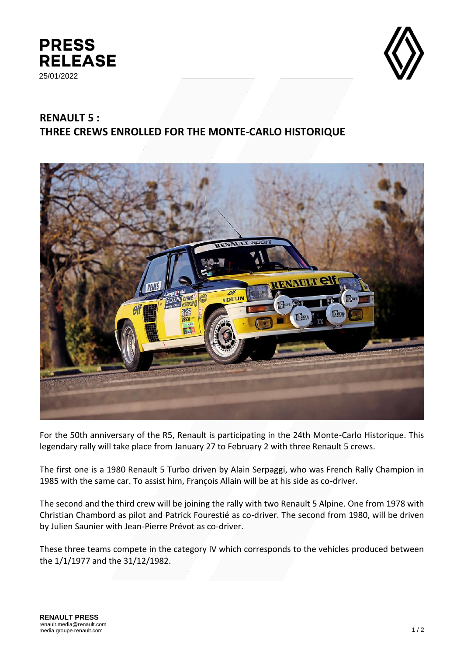



## **RENAULT 5 : THREE CREWS ENROLLED FOR THE MONTE-CARLO HISTORIQUE**



For the 50th anniversary of the R5, Renault is participating in the 24th Monte-Carlo Historique. This legendary rally will take place from January 27 to February 2 with three Renault 5 crews.

The first one is a 1980 Renault 5 Turbo driven by Alain Serpaggi, who was French Rally Champion in 1985 with the same car. To assist him, François Allain will be at his side as co-driver.

The second and the third crew will be joining the rally with two Renault 5 Alpine. One from 1978 with Christian Chambord as pilot and Patrick Fourestié as co-driver. The second from 1980, will be driven by Julien Saunier with Jean-Pierre Prévot as co-driver.

These three teams compete in the category IV which corresponds to the vehicles produced between the 1/1/1977 and the 31/12/1982.